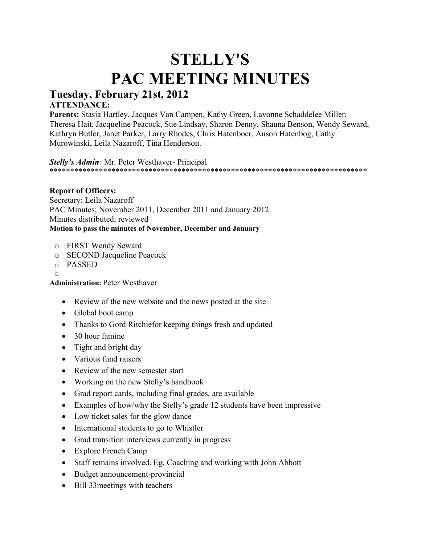# **STELLY'S PAC MEETING MINUTES**

# **Tuesday, February 21st, 2012**

## **ATTENDANCE:**

**Parents:** Stasia Hartley, Jacques Van Campen, Kathy Green, Lavonne Schaddelee Miller, Theresa Hait, Jacqueline Peacock, Sue Lindsay, Sharon Denny, Shauna Benson, Wendy Seward, Kathryn Butler, Janet Parker, Larry Rhodes, Chris Hatenboer, Auson Hatenbog, Cathy Murowinski, Leila Nazaroff, Tina Henderson.

*Stelly's Admin:* Mr. Peter Westhaver- Principal \*\*\*\*\*\*\*\*\*\*\*\*\*\*\*\*\*\*\*\*\*\*\*\*\*\*\*\*\*\*\*\*\*\*\*\*\*\*\*\*\*\*\*\*\*\*\*\*\*\*\*\*\*\*\*\*\*\*\*\*\*\*\*\*\*\*\*\*\*\*\*\*\*\*\*\*\*

#### **Report of Officers:**

Secretary: Leila Nazaroff PAC Minutes; November 2011, December 2011 and January 2012 Minutes distributed; reviewed **Motion to pass the minutes of November, December and January**

- o FIRST Wendy Seward
- o SECOND Jacqueline Peacock
- o PASSED
- o

**Administration:** Peter Westhaver

- Review of the new website and the news posted at the site
- Global boot camp
- Thanks to Gord Ritchiefor keeping things fresh and updated
- 30 hour famine
- Tight and bright day
- Various fund raisers
- Review of the new semester start
- Working on the new Stelly's handbook
- Grad report cards, including final grades, are available
- Examples of how/why the Stelly's grade 12 students have been impressive
- Low ticket sales for the glow dance
- International students to go to Whistler
- Grad transition interviews currently in progress
- Explore French Camp
- Staff remains involved. Eg. Coaching and working with John Abbott
- Budget announcement-provincial
- Bill 33meetings with teachers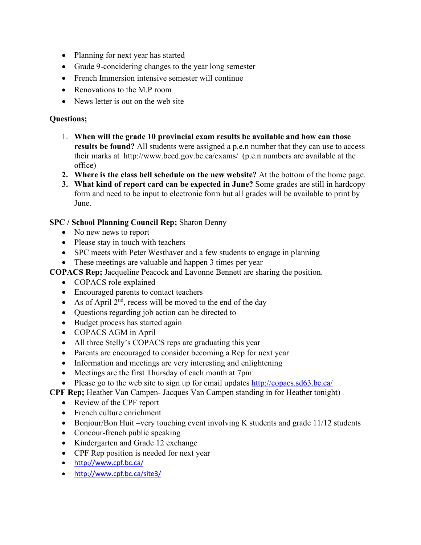- Planning for next year has started
- Grade 9-concidering changes to the year long semester
- French Immersion intensive semester will continue
- Renovations to the M.P room
- News letter is out on the web site

#### **Questions;**

- 1. **When will the grade 10 provincial exam results be available and how can those results be found?** All students were assigned a p.e.n number that they can use to access their marks at http://www.bced.gov.bc.ca/exams/ (p.e.n numbers are available at the office)
- **2. Where is the class bell schedule on the new website?** At the bottom of the home page.
- **3. What kind of report card can be expected in June?** Some grades are still in hardcopy form and need to be input to electronic form but all grades will be available to print by June.

#### **SPC / School Planning Council Rep;** Sharon Denny

- No new news to report
- Please stay in touch with teachers
- SPC meets with Peter Westhaver and a few students to engage in planning
- These meetings are valuable and happen 3 times per year

**COPACS Rep;** Jacqueline Peacock and Lavonne Bennett are sharing the position.

- COPACS role explained
- Encouraged parents to contact teachers
- As of April  $2<sup>nd</sup>$ , recess will be moved to the end of the day
- Questions regarding job action can be directed to
- Budget process has started again
- COPACS AGM in April
- All three Stelly's COPACS reps are graduating this year
- Parents are encouraged to consider becoming a Rep for next year
- Information and meetings are very interesting and enlightening
- Meetings are the first Thursday of each month at 7pm
- Please go to the web site to sign up for email updates<http://copacs.sd63.bc.ca/>

**CPF Rep;** Heather Van Campen- Jacques Van Campen standing in for Heather tonight)

- Review of the CPF report
- French culture enrichment
- Bonjour/Bon Huit –very touching event involving K students and grade 11/12 students
- Concour-french public speaking
- Kindergarten and Grade 12 exchange
- CPF Rep position is needed for next year
- <http://www.cpf.bc.ca/>
- <http://www.cpf.bc.ca/site3/>